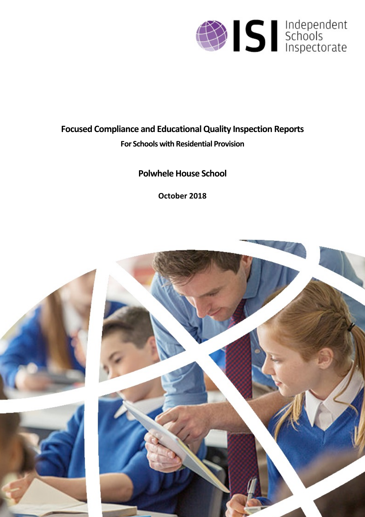

# **Focused Compliance and EducationalQuality Inspection Reports**

# **For Schools with Residential Provision**

# **Polwhele House School**

**October 2018**

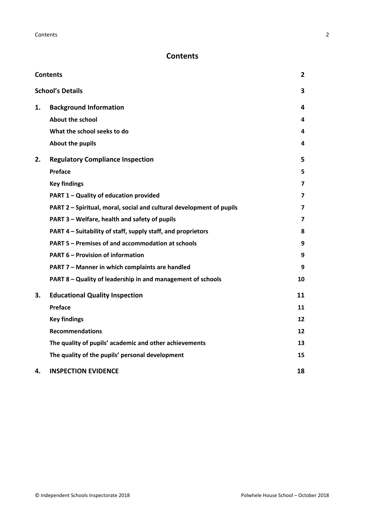## <span id="page-1-0"></span>**Contents**

| <b>Contents</b> |                                                                      | $\overline{2}$ |
|-----------------|----------------------------------------------------------------------|----------------|
|                 | <b>School's Details</b>                                              | 3              |
| 1.              | <b>Background Information</b>                                        | 4              |
|                 | <b>About the school</b>                                              | 4              |
|                 | What the school seeks to do                                          | 4              |
|                 | About the pupils                                                     | 4              |
| 2.              | <b>Regulatory Compliance Inspection</b>                              | 5              |
|                 | Preface                                                              | 5              |
|                 | <b>Key findings</b>                                                  | $\overline{7}$ |
|                 | PART 1 - Quality of education provided                               | 7              |
|                 | PART 2 - Spiritual, moral, social and cultural development of pupils | 7              |
|                 | PART 3 - Welfare, health and safety of pupils                        | 7              |
|                 | PART 4 - Suitability of staff, supply staff, and proprietors         | 8              |
|                 | <b>PART 5 - Premises of and accommodation at schools</b>             | 9              |
|                 | <b>PART 6 - Provision of information</b>                             | 9              |
|                 | PART 7 - Manner in which complaints are handled                      | 9              |
|                 | PART 8 - Quality of leadership in and management of schools          | 10             |
| 3.              | <b>Educational Quality Inspection</b>                                | 11             |
|                 | Preface                                                              | 11             |
|                 | <b>Key findings</b>                                                  | 12             |
|                 | <b>Recommendations</b>                                               | 12             |
|                 | The quality of pupils' academic and other achievements               | 13             |
|                 | The quality of the pupils' personal development                      | 15             |
| 4.              | <b>INSPECTION EVIDENCE</b>                                           | 18             |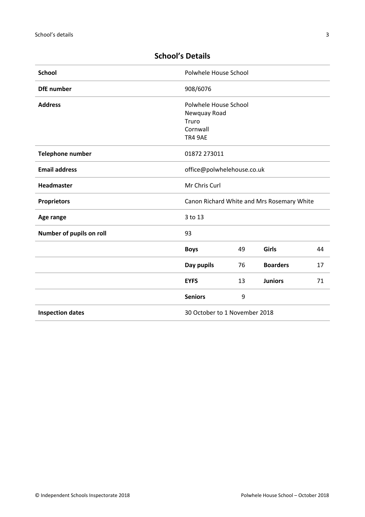| <b>School</b>                           | Polwhele House School                                                 |    |                 |    |
|-----------------------------------------|-----------------------------------------------------------------------|----|-----------------|----|
| <b>DfE</b> number                       | 908/6076                                                              |    |                 |    |
| <b>Address</b>                          | Polwhele House School<br>Newquay Road<br>Truro<br>Cornwall<br>TR4 9AE |    |                 |    |
| <b>Telephone number</b><br>01872 273011 |                                                                       |    |                 |    |
| <b>Email address</b>                    | office@polwhelehouse.co.uk                                            |    |                 |    |
| <b>Headmaster</b>                       | Mr Chris Curl                                                         |    |                 |    |
| <b>Proprietors</b>                      | Canon Richard White and Mrs Rosemary White                            |    |                 |    |
| Age range                               | 3 to 13                                                               |    |                 |    |
| Number of pupils on roll                | 93                                                                    |    |                 |    |
|                                         | <b>Boys</b>                                                           | 49 | Girls           | 44 |
|                                         | Day pupils                                                            | 76 | <b>Boarders</b> | 17 |
|                                         | <b>EYFS</b>                                                           | 13 | <b>Juniors</b>  | 71 |
|                                         | <b>Seniors</b>                                                        | 9  |                 |    |
| <b>Inspection dates</b>                 | 30 October to 1 November 2018                                         |    |                 |    |
|                                         |                                                                       |    |                 |    |

## <span id="page-2-0"></span>**School's Details**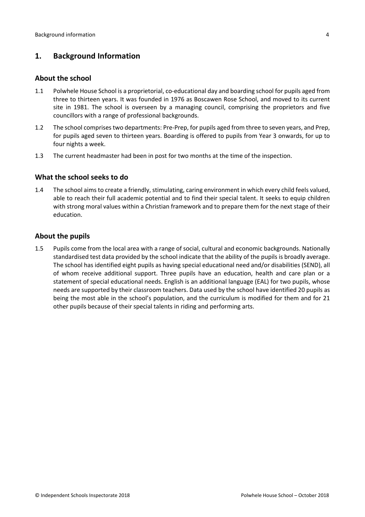## <span id="page-3-0"></span>**1. Background Information**

#### <span id="page-3-1"></span>**About the school**

- 1.1 Polwhele House School is a proprietorial, co-educational day and boarding school for pupils aged from three to thirteen years. It was founded in 1976 as Boscawen Rose School, and moved to its current site in 1981. The school is overseen by a managing council, comprising the proprietors and five councillors with a range of professional backgrounds.
- 1.2 The school comprises two departments: Pre-Prep, for pupils aged from three to seven years, and Prep, for pupils aged seven to thirteen years. Boarding is offered to pupils from Year 3 onwards, for up to four nights a week.
- 1.3 The current headmaster had been in post for two months at the time of the inspection.

#### <span id="page-3-2"></span>**What the school seeks to do**

1.4 The school aims to create a friendly, stimulating, caring environment in which every child feels valued, able to reach their full academic potential and to find their special talent. It seeks to equip children with strong moral values within a Christian framework and to prepare them for the next stage of their education.

#### <span id="page-3-3"></span>**About the pupils**

1.5 Pupils come from the local area with a range of social, cultural and economic backgrounds. Nationally standardised test data provided by the school indicate that the ability of the pupils is broadly average. The school has identified eight pupils as having special educational need and/or disabilities (SEND), all of whom receive additional support. Three pupils have an education, health and care plan or a statement of special educational needs. English is an additional language (EAL) for two pupils, whose needs are supported by their classroom teachers. Data used by the school have identified 20 pupils as being the most able in the school's population, and the curriculum is modified for them and for 21 other pupils because of their special talents in riding and performing arts.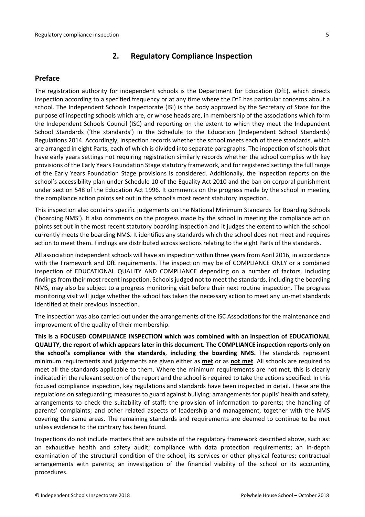### <span id="page-4-0"></span>**2. Regulatory Compliance Inspection**

#### <span id="page-4-1"></span>**Preface**

The registration authority for independent schools is the Department for Education (DfE), which directs inspection according to a specified frequency or at any time where the DfE has particular concerns about a school. The Independent Schools Inspectorate (ISI) is the body approved by the Secretary of State for the purpose of inspecting schools which are, or whose heads are, in membership of the associations which form the Independent Schools Council (ISC) and reporting on the extent to which they meet the Independent School Standards ('the standards') in the Schedule to the Education (Independent School Standards) Regulations 2014. Accordingly, inspection records whether the school meets each of these standards, which are arranged in eight Parts, each of which is divided into separate paragraphs. The inspection of schools that have early years settings not requiring registration similarly records whether the school complies with key provisions of the Early Years Foundation Stage statutory framework, and for registered settings the full range of the Early Years Foundation Stage provisions is considered. Additionally, the inspection reports on the school's accessibility plan under Schedule 10 of the Equality Act 2010 and the ban on corporal punishment under section 548 of the Education Act 1996. It comments on the progress made by the school in meeting the compliance action points set out in the school's most recent statutory inspection.

This inspection also contains specific judgements on the National Minimum Standards for Boarding Schools ('boarding NMS'). It also comments on the progress made by the school in meeting the compliance action points set out in the most recent statutory boarding inspection and it judges the extent to which the school currently meets the boarding NMS. It identifies any standards which the school does not meet and requires action to meet them. Findings are distributed across sections relating to the eight Parts of the standards.

All association independent schools will have an inspection within three yearsfrom April 2016, in accordance with the Framework and DfE requirements. The inspection may be of COMPLIANCE ONLY or a combined inspection of EDUCATIONAL QUALITY AND COMPLIANCE depending on a number of factors, including findings from their most recent inspection. Schools judged not to meet the standards, including the boarding NMS, may also be subject to a progress monitoring visit before their next routine inspection. The progress monitoring visit will judge whether the school has taken the necessary action to meet any un-met standards identified at their previous inspection.

The inspection was also carried out under the arrangements of the ISC Associations for the maintenance and improvement of the quality of their membership.

**This is a FOCUSED COMPLIANCE INSPECTION which was combined with an inspection of EDUCATIONAL QUALITY, the report of which appears later in this document. The COMPLIANCE inspection reports only on the school's compliance with the standards**, **including the boarding NMS.** The standards represent minimum requirements and judgements are given either as **met** or as **not met**. All schools are required to meet all the standards applicable to them. Where the minimum requirements are not met, this is clearly indicated in the relevant section of the report and the school is required to take the actions specified. In this focused compliance inspection, key regulations and standards have been inspected in detail. These are the regulations on safeguarding; measures to guard against bullying; arrangements for pupils' health and safety, arrangements to check the suitability of staff; the provision of information to parents; the handling of parents' complaints; and other related aspects of leadership and management, together with the NMS covering the same areas. The remaining standards and requirements are deemed to continue to be met unless evidence to the contrary has been found.

Inspections do not include matters that are outside of the regulatory framework described above, such as: an exhaustive health and safety audit; compliance with data protection requirements; an in-depth examination of the structural condition of the school, its services or other physical features; contractual arrangements with parents; an investigation of the financial viability of the school or its accounting procedures.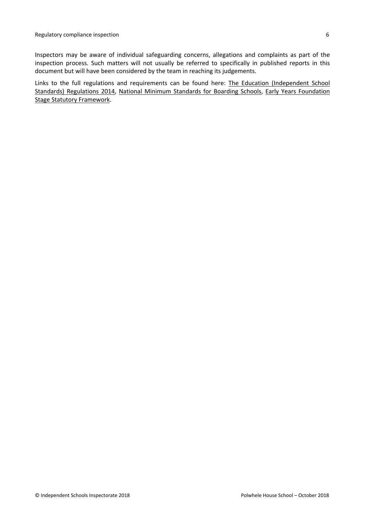Inspectors may be aware of individual safeguarding concerns, allegations and complaints as part of the inspection process. Such matters will not usually be referred to specifically in published reports in this document but will have been considered by the team in reaching its judgements.

Links to the full regulations and requirements can be found here: The Education [\(Independent](http://www.legislation.gov.uk/uksi/2014/3283/contents/made) School Standards) [Regulations](http://www.legislation.gov.uk/uksi/2014/3283/contents/made) 2014, National Minimum [Standards](https://www.gov.uk/government/uploads/system/uploads/attachment_data/file/416186/20150319_nms_bs_standards.pdf) for Boarding Schools, Early Years [Foundation](https://www.gov.uk/government/publications/early-years-foundation-stage-framework--2) Stage Statutory [Framework.](https://www.gov.uk/government/publications/early-years-foundation-stage-framework--2)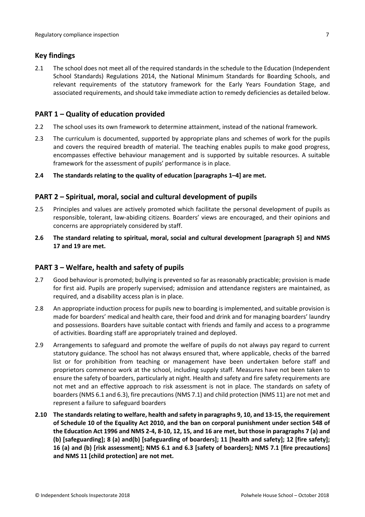## <span id="page-6-0"></span>**Key findings**

2.1 The school does not meet all of the required standards in the schedule to the Education (Independent School Standards) Regulations 2014, the National Minimum Standards for Boarding Schools, and relevant requirements of the statutory framework for the Early Years Foundation Stage, and associated requirements, and should take immediate action to remedy deficiencies as detailed below.

## <span id="page-6-1"></span>**PART 1 – Quality of education provided**

- 2.2 The school uses its own framework to determine attainment, instead of the national framework.
- 2.3 The curriculum is documented, supported by appropriate plans and schemes of work for the pupils and covers the required breadth of material. The teaching enables pupils to make good progress, encompasses effective behaviour management and is supported by suitable resources. A suitable framework for the assessment of pupils' performance is in place.
- **2.4 The standards relating to the quality of education [paragraphs 1–4] are met.**

## <span id="page-6-2"></span>**PART 2 – Spiritual, moral, social and cultural development of pupils**

- 2.5 Principles and values are actively promoted which facilitate the personal development of pupils as responsible, tolerant, law-abiding citizens. Boarders' views are encouraged, and their opinions and concerns are appropriately considered by staff.
- **2.6 The standard relating to spiritual, moral, social and cultural development [paragraph 5] and NMS 17 and 19 are met.**

### <span id="page-6-3"></span>**PART 3 – Welfare, health and safety of pupils**

- 2.7 Good behaviour is promoted; bullying is prevented so far as reasonably practicable; provision is made for first aid. Pupils are properly supervised; admission and attendance registers are maintained, as required, and a disability access plan is in place.
- 2.8 An appropriate induction process for pupils new to boarding is implemented, and suitable provision is made for boarders' medical and health care, their food and drink and for managing boarders' laundry and possessions. Boarders have suitable contact with friends and family and access to a programme of activities. Boarding staff are appropriately trained and deployed.
- 2.9 Arrangements to safeguard and promote the welfare of pupils do not always pay regard to current statutory guidance. The school has not always ensured that, where applicable, checks of the barred list or for prohibition from teaching or management have been undertaken before staff and proprietors commence work at the school, including supply staff. Measures have not been taken to ensure the safety of boarders, particularly at night. Health and safety and fire safety requirements are not met and an effective approach to risk assessment is not in place. The standards on safety of boarders (NMS 6.1 and 6.3), fire precautions (NMS 7.1) and child protection (NMS 11) are not met and represent a failure to safeguard boarders
- **2.10 The standardsrelating to welfare, health and safety in paragraphs 9, 10, and 13-15, the requirement of Schedule 10 of the Equality Act 2010, and the ban on corporal punishment under section 548 of** the Education Act 1996 and NMS 2-4, 8-10, 12, 15, and 16 are met, but those in paragraphs 7 (a) and **(b) [safeguarding]; 8 (a) and(b) [safeguarding of boarders]; 11 [health and safety]; 12 [fire safety]; 16 (a) and (b) [risk assessment]; NMS 6.1 and 6.3 [safety of boarders]; NMS 7.1 [fire precautions] and NMS 11 [child protection] are not met.**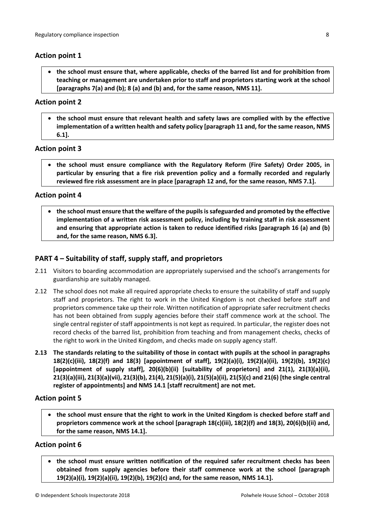### **Action point 1**

 **the school must ensure that, where applicable, checks of the barred list and for prohibition from teaching or management are undertaken prior to staff and proprietors starting work at the school [paragraphs 7(a) and (b); 8 (a) and (b) and, for the same reason, NMS 11].**

### **Action point 2**

 **the school must ensure that relevant health and safety laws are complied with by the effective implementation of a written health and safety policy [paragraph 11 and, for the same reason, NMS 6.1].**

### **Action point 3**

 **the school must ensure compliance with the Regulatory Reform (Fire Safety) Order 2005, in particular by ensuring that a fire risk prevention policy and a formally recorded and regularly reviewed fire risk assessment are in place [paragraph 12 and, for the same reason, NMS 7.1].**

#### **Action point 4**

 **the school must ensure that the welfare of the pupilsissafeguarded and promoted by the effective implementation of a written risk assessment policy, including by training staff in risk assessment and ensuring that appropriate action is taken to reduce identified risks [paragraph 16 (a) and (b) and, for the same reason, NMS 6.3].**

## <span id="page-7-0"></span>**PART 4 – Suitability of staff, supply staff, and proprietors**

- 2.11 Visitors to boarding accommodation are appropriately supervised and the school's arrangements for guardianship are suitably managed.
- 2.12 The school does not make all required appropriate checks to ensure the suitability of staff and supply staff and proprietors. The right to work in the United Kingdom is not checked before staff and proprietors commence take up their role. Written notification of appropriate safer recruitment checks has not been obtained from supply agencies before their staff commence work at the school. The single central register of staff appointments is not kept as required. In particular, the register does not record checks of the barred list, prohibition from teaching and from management checks, checks of the right to work in the United Kingdom, and checks made on supply agency staff.
- 2.13 The standards relating to the suitability of those in contact with pupils at the school in paragraphs **18(2)(c)(iii), 18(2)(f) and 18(3) [appointment of staff], 19(2)(a)(i), 19(2)(a)(ii), 19(2)(b), 19(2)(c) [appointment of supply staff], 20(6)(b)(ii) [suitability of proprietors] and 21(1), 21(3)(a)(ii), 21(3)(a)(iii), 21(3)(a)(vii), 21(3)(b), 21(4), 21(5)(a)(i), 21(5)(a)(ii), 21(5)(c) and 21(6) [the single central register of appointments] and NMS 14.1 [staff recruitment] are not met.**

#### **Action point 5**

 **the school must ensure that the right to work in the United Kingdom is checked before staff and proprietors commence work at the school [paragraph 18(c)(iii), 18(2)(f) and 18(3), 20(6)(b)(ii) and, for the same reason, NMS 14.1].**

#### **Action point 6**

 **the school must ensure written notification of the required safer recruitment checks has been obtained from supply agencies before their staff commence work at the school [paragraph 19(2)(a)(i), 19(2)(a)(ii), 19(2)(b), 19(2)(c) and, for the same reason, NMS 14.1].**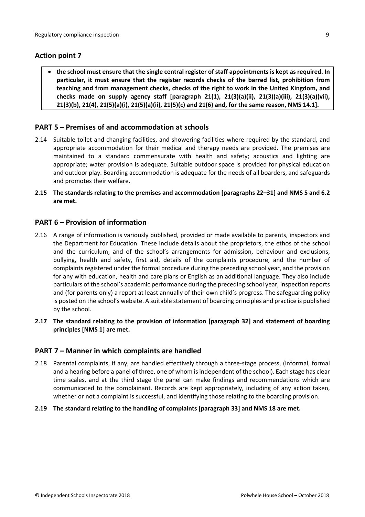## **Action point 7**

 **the school must ensure that the single central register of staff appointments is kept as required. In particular, it must ensure that the register records checks of the barred list, prohibition from teaching and from management checks, checks of the right to work in the United Kingdom, and checks made on supply agency staff [paragraph 21(1), 21(3)(a)(ii), 21(3)(a)(iii), 21(3)(a)(vii), 21(3)(b), 21(4), 21(5)(a)(i), 21(5)(a)(ii), 21(5)(c) and 21(6) and, for the same reason, NMS 14.1].**

### <span id="page-8-0"></span>**PART 5 – Premises of and accommodation at schools**

- 2.14 Suitable toilet and changing facilities, and showering facilities where required by the standard, and appropriate accommodation for their medical and therapy needs are provided. The premises are maintained to a standard commensurate with health and safety; acoustics and lighting are appropriate; water provision is adequate. Suitable outdoor space is provided for physical education and outdoor play. Boarding accommodation is adequate for the needs of all boarders, and safeguards and promotes their welfare.
- **2.15 The standards relating to the premises and accommodation [paragraphs 22–31] and NMS 5 and 6.2 are met.**

#### <span id="page-8-1"></span>**PART 6 – Provision of information**

- 2.16 A range of information is variously published, provided or made available to parents, inspectors and the Department for Education. These include details about the proprietors, the ethos of the school and the curriculum, and of the school's arrangements for admission, behaviour and exclusions, bullying, health and safety, first aid, details of the complaints procedure, and the number of complaints registered under the formal procedure during the preceding school year, and the provision for any with education, health and care plans or English as an additional language. They also include particulars of the school's academic performance during the preceding school year, inspection reports and (for parents only) a report at least annually of their own child's progress. The safeguarding policy is posted on the school's website. A suitable statement of boarding principles and practice is published by the school.
- **2.17 The standard relating to the provision of information [paragraph 32] and statement of boarding principles [NMS 1] are met.**

#### <span id="page-8-2"></span>**PART 7 – Manner in which complaints are handled**

- 2.18 Parental complaints, if any, are handled effectively through a three-stage process, (informal, formal and a hearing before a panel of three, one of whom isindependent of the school). Each stage has clear time scales, and at the third stage the panel can make findings and recommendations which are communicated to the complainant. Records are kept appropriately, including of any action taken, whether or not a complaint is successful, and identifying those relating to the boarding provision.
- **2.19 The standard relating to the handling of complaints [paragraph 33] and NMS 18 are met.**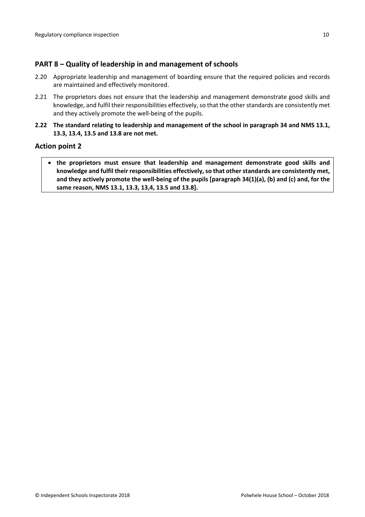## <span id="page-9-0"></span>**PART 8 – Quality of leadership in and management of schools**

- 2.20 Appropriate leadership and management of boarding ensure that the required policies and records are maintained and effectively monitored.
- 2.21 The proprietors does not ensure that the leadership and management demonstrate good skills and knowledge, and fulfil their responsibilities effectively, so that the otherstandards are consistently met and they actively promote the well-being of the pupils.
- **2.22 The standard relating to leadership and management of the school in paragraph 34 and NMS 13.1, 13.3, 13.4, 13.5 and 13.8 are not met.**

#### **Action point 2**

 **the proprietors must ensure that leadership and management demonstrate good skills and knowledge and fulfil their responsibilities effectively, so that otherstandards are consistently met, and they actively promote the well-being of the pupils [paragraph 34(1)(a), (b) and (c) and, for the same reason, NMS 13.1, 13.3, 13,4, 13.5 and 13.8].**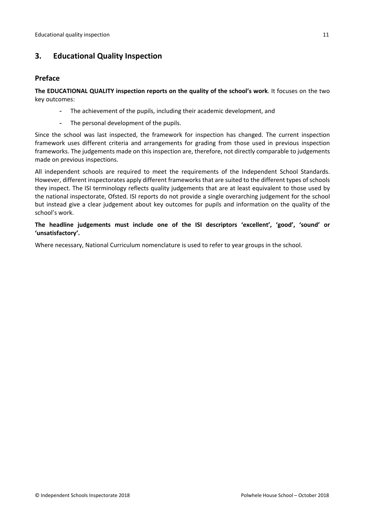## <span id="page-10-0"></span>**3. Educational Quality Inspection**

### <span id="page-10-1"></span>**Preface**

**The EDUCATIONAL QUALITY inspection reports on the quality of the school's work**. It focuses on the two key outcomes:

- The achievement of the pupils, including their academic development, and
- The personal development of the pupils.

Since the school was last inspected, the framework for inspection has changed. The current inspection framework uses different criteria and arrangements for grading from those used in previous inspection frameworks. The judgements made on this inspection are, therefore, not directly comparable to judgements made on previous inspections.

All independent schools are required to meet the requirements of the Independent School Standards. However, different inspectorates apply different frameworks that are suited to the different types of schools they inspect. The ISI terminology reflects quality judgements that are at least equivalent to those used by the national inspectorate, Ofsted. ISI reports do not provide a single overarching judgement for the school but instead give a clear judgement about key outcomes for pupils and information on the quality of the school's work.

**The headline judgements must include one of the ISI descriptors 'excellent', 'good', 'sound' or 'unsatisfactory'.**

Where necessary, National Curriculum nomenclature is used to refer to year groups in the school.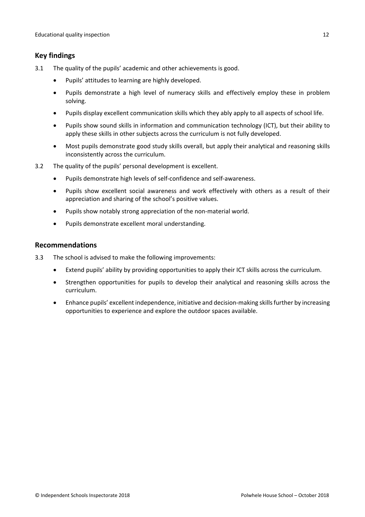## <span id="page-11-0"></span>**Key findings**

- 3.1 The quality of the pupils' academic and other achievements is good.
	- Pupils' attitudes to learning are highly developed.
	- Pupils demonstrate a high level of numeracy skills and effectively employ these in problem solving.
	- Pupils display excellent communication skills which they ably apply to all aspects of school life.
	- Pupils show sound skills in information and communication technology (ICT), but their ability to apply these skills in other subjects across the curriculum is not fully developed.
	- Most pupils demonstrate good study skills overall, but apply their analytical and reasoning skills inconsistently across the curriculum.
- 3.2 The quality of the pupils' personal development is excellent.
	- Pupils demonstrate high levels of self-confidence and self-awareness.
	- Pupils show excellent social awareness and work effectively with others as a result of their appreciation and sharing of the school's positive values.
	- Pupils show notably strong appreciation of the non-material world.
	- Pupils demonstrate excellent moral understanding.

### <span id="page-11-1"></span>**Recommendations**

- 3.3 The school is advised to make the following improvements:
	- Extend pupils' ability by providing opportunities to apply their ICT skills across the curriculum.
	- Strengthen opportunities for pupils to develop their analytical and reasoning skills across the curriculum.
	- Enhance pupils' excellent independence, initiative and decision-making skills further by increasing opportunities to experience and explore the outdoor spaces available.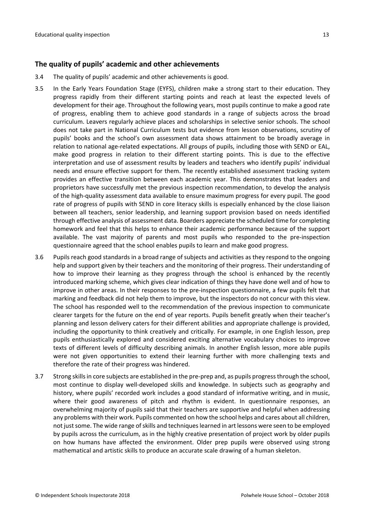#### <span id="page-12-0"></span>**The quality of pupils' academic and other achievements**

- 3.4 The quality of pupils' academic and other achievements is good.
- 3.5 In the Early Years Foundation Stage (EYFS), children make a strong start to their education. They progress rapidly from their different starting points and reach at least the expected levels of development for their age. Throughout the following years, most pupils continue to make a good rate of progress, enabling them to achieve good standards in a range of subjects across the broad curriculum. Leavers regularly achieve places and scholarships in selective senior schools. The school does not take part in National Curriculum tests but evidence from lesson observations, scrutiny of pupils' books and the school's own assessment data shows attainment to be broadly average in relation to national age-related expectations. All groups of pupils, including those with SEND or EAL, make good progress in relation to their different starting points. This is due to the effective interpretation and use of assessment results by leaders and teachers who identify pupils' individual needs and ensure effective support for them. The recently established assessment tracking system provides an effective transition between each academic year. This demonstrates that leaders and proprietors have successfully met the previous inspection recommendation, to develop the analysis of the high-quality assessment data available to ensure maximum progress for every pupil. The good rate of progress of pupils with SEND in core literacy skills is especially enhanced by the close liaison between all teachers, senior leadership, and learning support provision based on needs identified through effective analysis of assessment data. Boarders appreciate the scheduled time for completing homework and feel that this helps to enhance their academic performance because of the support available. The vast majority of parents and most pupils who responded to the pre-inspection questionnaire agreed that the school enables pupils to learn and make good progress.
- 3.6 Pupils reach good standards in a broad range of subjects and activities as they respond to the ongoing help and support given by their teachers and the monitoring of their progress. Their understanding of how to improve their learning as they progress through the school is enhanced by the recently introduced marking scheme, which gives clear indication of things they have done well and of how to improve in other areas. In their responses to the pre-inspection questionnaire, a few pupils felt that marking and feedback did not help them to improve, but the inspectors do not concur with this view. The school has responded well to the recommendation of the previous inspection to communicate clearer targets for the future on the end of year reports. Pupils benefit greatly when their teacher's planning and lesson delivery caters for their different abilities and appropriate challenge is provided, including the opportunity to think creatively and critically. For example, in one English lesson, prep pupils enthusiastically explored and considered exciting alternative vocabulary choices to improve texts of different levels of difficulty describing animals. In another English lesson, more able pupils were not given opportunities to extend their learning further with more challenging texts and therefore the rate of their progress was hindered.
- 3.7 Strong skillsin core subjects are established in the pre-prep and, as pupils progressthrough the school, most continue to display well-developed skills and knowledge. In subjects such as geography and history, where pupils' recorded work includes a good standard of informative writing, and in music, where their good awareness of pitch and rhythm is evident. In questionnaire responses, an overwhelming majority of pupils said that their teachers are supportive and helpful when addressing any problems with their work. Pupils commented on how the school helps and cares about all children, not just some. The wide range of skills and techniques learned in art lessons were seen to be employed by pupils across the curriculum, as in the highly creative presentation of project work by older pupils on how humans have affected the environment. Older prep pupils were observed using strong mathematical and artistic skills to produce an accurate scale drawing of a human skeleton.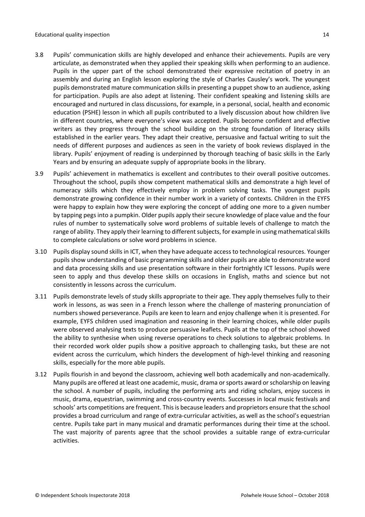- 3.8 Pupils' communication skills are highly developed and enhance their achievements. Pupils are very articulate, as demonstrated when they applied their speaking skills when performing to an audience. Pupils in the upper part of the school demonstrated their expressive recitation of poetry in an assembly and during an English lesson exploring the style of Charles Causley's work. The youngest pupils demonstrated mature communication skills in presenting a puppet show to an audience, asking for participation. Pupils are also adept at listening. Their confident speaking and listening skills are encouraged and nurtured in class discussions, for example, in a personal, social, health and economic education (PSHE) lesson in which all pupils contributed to a lively discussion about how children live in different countries, where everyone's view was accepted. Pupils become confident and effective writers as they progress through the school building on the strong foundation of literacy skills established in the earlier years. They adapt their creative, persuasive and factual writing to suit the needs of different purposes and audiences as seen in the variety of book reviews displayed in the library. Pupils' enjoyment of reading is underpinned by thorough teaching of basic skills in the Early Years and by ensuring an adequate supply of appropriate books in the library.
- 3.9 Pupils' achievement in mathematics is excellent and contributes to their overall positive outcomes. Throughout the school, pupils show competent mathematical skills and demonstrate a high level of numeracy skills which they effectively employ in problem solving tasks. The youngest pupils demonstrate growing confidence in their number work in a variety of contexts. Children in the EYFS were happy to explain how they were exploring the concept of adding one more to a given number by tapping pegs into a pumpkin. Older pupils apply their secure knowledge of place value and the four rules of number to systematically solve word problems of suitable levels of challenge to match the range of ability. They apply their learning to different subjects, for example in using mathematical skills to complete calculations or solve word problems in science.
- 3.10 Pupils display sound skills in ICT, when they have adequate access to technological resources. Younger pupils show understanding of basic programming skills and older pupils are able to demonstrate word and data processing skills and use presentation software in their fortnightly ICT lessons. Pupils were seen to apply and thus develop these skills on occasions in English, maths and science but not consistently in lessons across the curriculum.
- 3.11 Pupils demonstrate levels of study skills appropriate to their age. They apply themselves fully to their work in lessons, as was seen in a French lesson where the challenge of mastering pronunciation of numbers showed perseverance. Pupils are keen to learn and enjoy challenge when it is presented. For example, EYFS children used imagination and reasoning in their learning choices, while older pupils were observed analysing texts to produce persuasive leaflets. Pupils at the top of the school showed the ability to synthesise when using reverse operations to check solutions to algebraic problems. In their recorded work older pupils show a positive approach to challenging tasks, but these are not evident across the curriculum, which hinders the development of high-level thinking and reasoning skills, especially for the more able pupils.
- 3.12 Pupils flourish in and beyond the classroom, achieving well both academically and non-academically. Many pupils are offered at least one academic, music, drama or sports award or scholarship on leaving the school. A number of pupils, including the performing arts and riding scholars, enjoy success in music, drama, equestrian, swimming and cross-country events. Successes in local music festivals and schools' arts competitions are frequent. This is because leaders and proprietors ensure that the school provides a broad curriculum and range of extra-curricular activities, as well as the school's equestrian centre. Pupils take part in many musical and dramatic performances during their time at the school. The vast majority of parents agree that the school provides a suitable range of extra-curricular activities.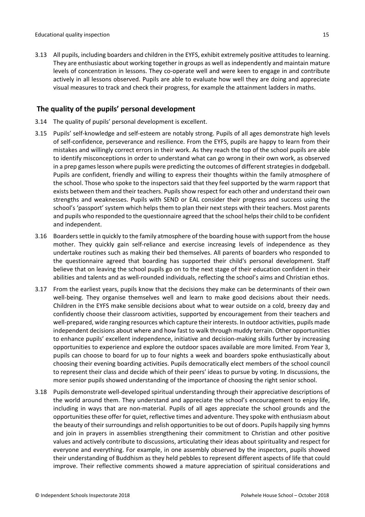3.13 All pupils, including boarders and children in the EYFS, exhibit extremely positive attitudes to learning. They are enthusiastic about working together in groups as well as independently and maintain mature levels of concentration in lessons. They co-operate well and were keen to engage in and contribute actively in all lessons observed. Pupils are able to evaluate how well they are doing and appreciate visual measures to track and check their progress, for example the attainment ladders in maths.

## <span id="page-14-0"></span>**The quality of the pupils' personal development**

- 3.14 The quality of pupils' personal development is excellent.
- 3.15 Pupils' self-knowledge and self-esteem are notably strong. Pupils of all ages demonstrate high levels of self-confidence, perseverance and resilience. From the EYFS, pupils are happy to learn from their mistakes and willingly correct errors in their work. As they reach the top of the school pupils are able to identify misconceptions in order to understand what can go wrong in their own work, as observed in a prep games lesson where pupils were predicting the outcomes of different strategies in dodgeball. Pupils are confident, friendly and willing to express their thoughts within the family atmosphere of the school. Those who spoke to the inspectors said that they feel supported by the warm rapport that exists between them and their teachers. Pupils show respect for each other and understand their own strengths and weaknesses. Pupils with SEND or EAL consider their progress and success using the school's 'passport' system which helps them to plan their next steps with their teachers. Most parents and pupils who responded to the questionnaire agreed that the school helpstheir child to be confident and independent.
- 3.16 Boarderssettle in quickly to the family atmosphere of the boarding house with support from the house mother. They quickly gain self-reliance and exercise increasing levels of independence as they undertake routines such as making their bed themselves. All parents of boarders who responded to the questionnaire agreed that boarding has supported their child's personal development. Staff believe that on leaving the school pupils go on to the next stage of their education confident in their abilities and talents and as well-rounded individuals, reflecting the school's aims and Christian ethos.
- 3.17 From the earliest years, pupils know that the decisions they make can be determinants of their own well-being. They organise themselves well and learn to make good decisions about their needs. Children in the EYFS make sensible decisions about what to wear outside on a cold, breezy day and confidently choose their classroom activities, supported by encouragement from their teachers and well-prepared, wide ranging resources which capture their interests. In outdoor activities, pupils made independent decisions about where and how fast to walk through muddy terrain. Other opportunities to enhance pupils' excellent independence, initiative and decision-making skills further by increasing opportunities to experience and explore the outdoor spaces available are more limited. From Year 3, pupils can choose to board for up to four nights a week and boarders spoke enthusiastically about choosing their evening boarding activities. Pupils democratically elect members of the school council to represent their class and decide which of their peers' ideas to pursue by voting. In discussions, the more senior pupils showed understanding of the importance of choosing the right senior school.
- 3.18 Pupils demonstrate well-developed spiritual understanding through their appreciative descriptions of the world around them. They understand and appreciate the school's encouragement to enjoy life, including in ways that are non-material. Pupils of all ages appreciate the school grounds and the opportunities these offer for quiet, reflective times and adventure. They spoke with enthusiasm about the beauty of their surroundings and relish opportunities to be out of doors. Pupils happily sing hymns and join in prayers in assemblies strengthening their commitment to Christian and other positive values and actively contribute to discussions, articulating their ideas about spirituality and respect for everyone and everything. For example, in one assembly observed by the inspectors, pupils showed their understanding of Buddhism as they held pebbles to represent different aspects of life that could improve. Their reflective comments showed a mature appreciation of spiritual considerations and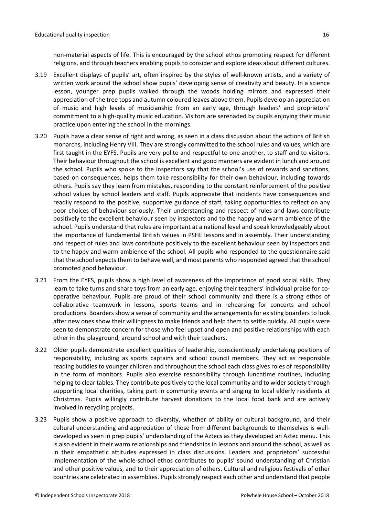non-material aspects of life. This is encouraged by the school ethos promoting respect for different religions, and through teachers enabling pupils to consider and explore ideas about different cultures.

- 3.19 Excellent displays of pupils' art, often inspired by the styles of well-known artists, and a variety of written work around the school show pupils' developing sense of creativity and beauty. In a science lesson, younger prep pupils walked through the woods holding mirrors and expressed their appreciation of the tree tops and autumn coloured leaves above them. Pupils develop an appreciation of music and high levels of musicianship from an early age, through leaders' and proprietors' commitment to a high-quality music education. Visitors are serenaded by pupils enjoying their music practice upon entering the school in the mornings.
- 3.20 Pupils have a clear sense of right and wrong, as seen in a class discussion about the actions of British monarchs, including Henry VIII. They are strongly committed to the school rules and values, which are first taught in the EYFS. Pupils are very polite and respectful to one another, to staff and to visitors. Their behaviour throughout the school is excellent and good manners are evident in lunch and around the school. Pupils who spoke to the inspectors say that the school's use of rewards and sanctions, based on consequences, helps them take responsibility for their own behaviour, including towards others. Pupils say they learn from mistakes, responding to the constant reinforcement of the positive school values by school leaders and staff. Pupils appreciate that incidents have consequences and readily respond to the positive, supportive guidance of staff, taking opportunities to reflect on any poor choices of behaviour seriously. Their understanding and respect of rules and laws contribute positively to the excellent behaviour seen by inspectors and to the happy and warm ambience of the school. Pupils understand that rules are important at a national level and speak knowledgeably about the importance of fundamental British values in PSHE lessons and in assembly. Their understanding and respect of rules and laws contribute positively to the excellent behaviour seen by inspectors and to the happy and warm ambience of the school. All pupils who responded to the questionnaire said that the school expects them to behave well, and most parents who responded agreed that the school promoted good behaviour.
- 3.21 From the EYFS, pupils show a high level of awareness of the importance of good social skills. They learn to take turns and share toys from an early age, enjoying their teachers' individual praise for cooperative behaviour. Pupils are proud of their school community and there is a strong ethos of collaborative teamwork in lessons, sports teams and in rehearsing for concerts and school productions. Boarders show a sense of community and the arrangements for existing boarders to look after new ones show their willingness to make friends and help them to settle quickly. All pupils were seen to demonstrate concern for those who feel upset and open and positive relationships with each other in the playground, around school and with their teachers.
- 3.22 Older pupils demonstrate excellent qualities of leadership, conscientiously undertaking positions of responsibility, including as sports captains and school council members. They act as responsible reading buddies to younger children and throughout the school each class gives roles of responsibility in the form of monitors. Pupils also exercise responsibility through lunchtime routines, including helping to clear tables. They contribute positively to the local community and to wider society through supporting local charities, taking part in community events and singing to local elderly residents at Christmas. Pupils willingly contribute harvest donations to the local food bank and are actively involved in recycling projects.
- 3.23 Pupils show a positive approach to diversity, whether of ability or cultural background, and their cultural understanding and appreciation of those from different backgrounds to themselves is welldeveloped as seen in prep pupils' understanding of the Aztecs as they developed an Aztec menu. This is also evident in their warm relationships and friendships in lessons and around the school, as well as in their empathetic attitudes expressed in class discussions. Leaders and proprietors' successful implementation of the whole-school ethos contributes to pupils' sound understanding of Christian and other positive values, and to their appreciation of others. Cultural and religious festivals of other countries are celebrated in assemblies. Pupils strongly respect each other and understand that people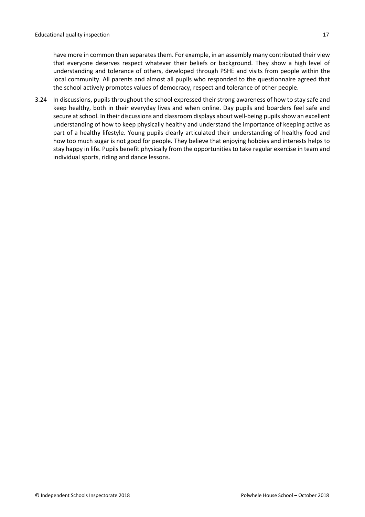have more in common than separates them. For example, in an assembly many contributed their view that everyone deserves respect whatever their beliefs or background. They show a high level of understanding and tolerance of others, developed through PSHE and visits from people within the local community. All parents and almost all pupils who responded to the questionnaire agreed that the school actively promotes values of democracy, respect and tolerance of other people.

3.24 In discussions, pupils throughout the school expressed their strong awareness of how to stay safe and keep healthy, both in their everyday lives and when online. Day pupils and boarders feel safe and secure at school. In their discussions and classroom displays about well-being pupils show an excellent understanding of how to keep physically healthy and understand the importance of keeping active as part of a healthy lifestyle. Young pupils clearly articulated their understanding of healthy food and how too much sugar is not good for people. They believe that enjoying hobbies and interests helps to stay happy in life. Pupils benefit physically from the opportunities to take regular exercise in team and individual sports, riding and dance lessons.